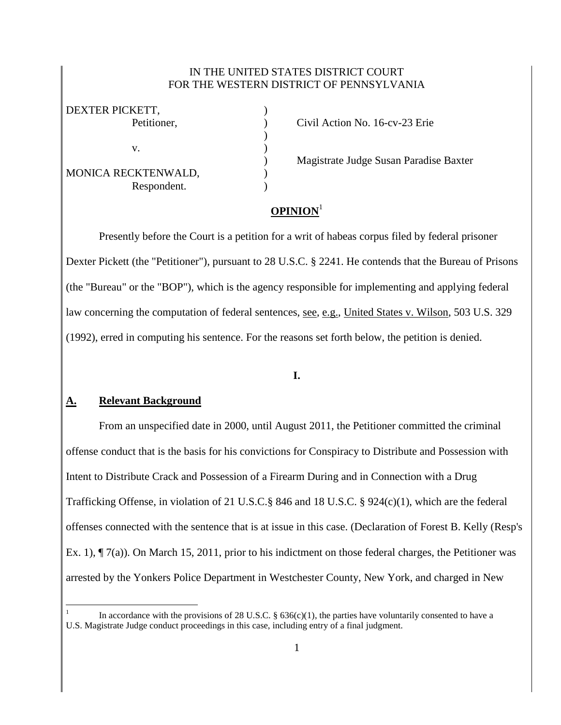#### IN THE UNITED STATES DISTRICT COURT FOR THE WESTERN DISTRICT OF PENNSYLVANIA

| DEXTER PICKETT,     |  |
|---------------------|--|
| Petitioner,         |  |
|                     |  |
| V.                  |  |
|                     |  |
| MONICA RECKTENWALD, |  |
| Respondent.         |  |

Petition No. 16-cv-23 Erie

) Magistrate Judge Susan Paradise Baxter

# **OPINION**<sup>1</sup>

Presently before the Court is a petition for a writ of habeas corpus filed by federal prisoner Dexter Pickett (the "Petitioner"), pursuant to 28 U.S.C. § 2241. He contends that the Bureau of Prisons (the "Bureau" or the "BOP"), which is the agency responsible for implementing and applying federal law concerning the computation of federal sentences, <u>see, e.g., United States v. Wilson</u>, 503 U.S. 329 (1992), erred in computing his sentence. For the reasons set forth below, the petition is denied.

## **I.**

## **A. Relevant Background**

 $\overline{a}$ 

From an unspecified date in 2000, until August 2011, the Petitioner committed the criminal offense conduct that is the basis for his convictions for Conspiracy to Distribute and Possession with Intent to Distribute Crack and Possession of a Firearm During and in Connection with a Drug Trafficking Offense, in violation of 21 U.S.C.§ 846 and 18 U.S.C. § 924(c)(1), which are the federal offenses connected with the sentence that is at issue in this case. (Declaration of Forest B. Kelly (Resp's Ex. 1), ¶ 7(a)). On March 15, 2011, prior to his indictment on those federal charges, the Petitioner was arrested by the Yonkers Police Department in Westchester County, New York, and charged in New

<sup>1</sup> In accordance with the provisions of 28 U.S.C. §  $636(c)(1)$ , the parties have voluntarily consented to have a U.S. Magistrate Judge conduct proceedings in this case, including entry of a final judgment.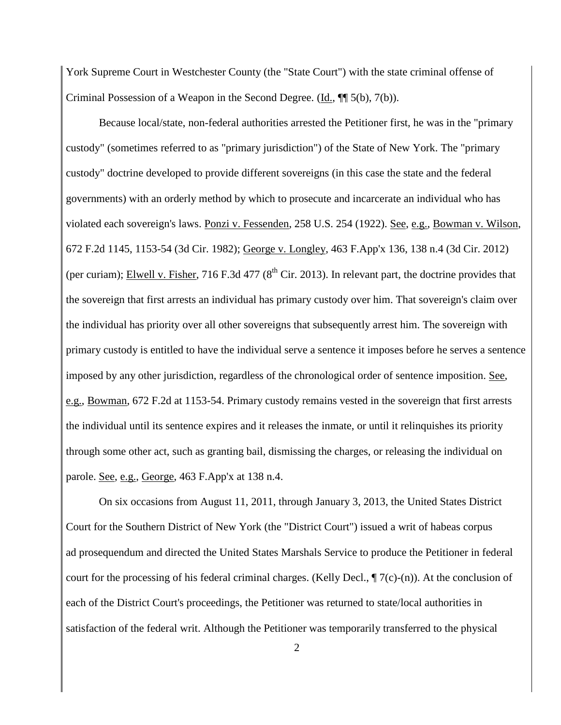York Supreme Court in Westchester County (the "State Court") with the state criminal offense of Criminal Possession of a Weapon in the Second Degree. (Id., ¶¶ 5(b), 7(b)).

Because local/state, non-federal authorities arrested the Petitioner first, he was in the "primary custody" (sometimes referred to as "primary jurisdiction") of the State of New York. The "primary custody" doctrine developed to provide different sovereigns (in this case the state and the federal governments) with an orderly method by which to prosecute and incarcerate an individual who has violated each sovereign's laws. Ponzi v. Fessenden, 258 U.S. 254 (1922). See, e.g., Bowman v. Wilson, 672 F.2d 1145, 1153-54 (3d Cir. 1982); George v. Longley, 463 F.App'x 136, 138 n.4 (3d Cir. 2012) (per curiam); Elwell v. Fisher, 716 F.3d 477 ( $8<sup>th</sup>$  Cir. 2013). In relevant part, the doctrine provides that the sovereign that first arrests an individual has primary custody over him. That sovereign's claim over the individual has priority over all other sovereigns that subsequently arrest him. The sovereign with primary custody is entitled to have the individual serve a sentence it imposes before he serves a sentence imposed by any other jurisdiction, regardless of the chronological order of sentence imposition. See, e.g., Bowman, 672 F.2d at 1153-54. Primary custody remains vested in the sovereign that first arrests the individual until its sentence expires and it releases the inmate, or until it relinquishes its priority through some other act, such as granting bail, dismissing the charges, or releasing the individual on parole. See, e.g., George, 463 F.App'x at 138 n.4.

On six occasions from August 11, 2011, through January 3, 2013, the United States District Court for the Southern District of New York (the "District Court") issued a writ of habeas corpus ad prosequendum and directed the United States Marshals Service to produce the Petitioner in federal court for the processing of his federal criminal charges. (Kelly Decl.,  $\P$  7(c)-(n)). At the conclusion of each of the District Court's proceedings, the Petitioner was returned to state/local authorities in satisfaction of the federal writ. Although the Petitioner was temporarily transferred to the physical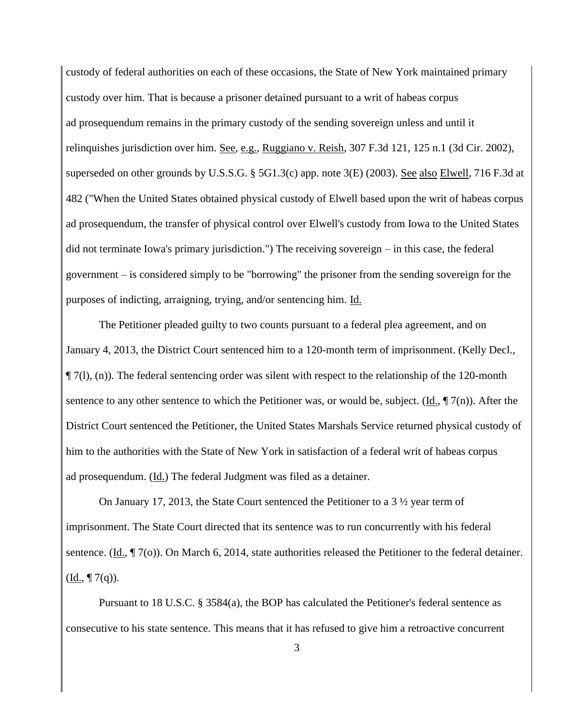custody of federal authorities on each of these occasions, the State of New York maintained primary custody over him. That is because a prisoner detained pursuant to a writ of habeas corpus ad prosequendum remains in the primary custody of the sending sovereign unless and until it relinquishes jurisdiction over him. See, e.g., Ruggiano v. Reish, 307 F.3d 121, 125 n.1 (3d Cir. 2002), superseded on other grounds by U.S.S.G. § 5G1.3(c) app. note 3(E) (2003). See also Elwell, 716 F.3d at 482 ("When the United States obtained physical custody of Elwell based upon the writ of habeas corpus ad prosequendum, the transfer of physical control over Elwell's custody from Iowa to the United States did not terminate Iowa's primary jurisdiction.") The receiving sovereign – in this case, the federal government – is considered simply to be "borrowing" the prisoner from the sending sovereign for the purposes of indicting, arraigning, trying, and/or sentencing him. Id.

The Petitioner pleaded guilty to two counts pursuant to a federal plea agreement, and on January 4, 2013, the District Court sentenced him to a 120-month term of imprisonment. (Kelly Decl., ¶ 7(l), (n)). The federal sentencing order was silent with respect to the relationship of the 120-month sentence to any other sentence to which the Petitioner was, or would be, subject. (Id.,  $\P$  7(n)). After the District Court sentenced the Petitioner, the United States Marshals Service returned physical custody of him to the authorities with the State of New York in satisfaction of a federal writ of habeas corpus ad prosequendum. (Id.) The federal Judgment was filed as a detainer.

On January 17, 2013, the State Court sentenced the Petitioner to a 3 ½ year term of imprisonment. The State Court directed that its sentence was to run concurrently with his federal sentence. (Id., ¶ 7(o)). On March 6, 2014, state authorities released the Petitioner to the federal detainer.  $(\underline{Id.}, \P 7(q)).$ 

Pursuant to 18 U.S.C. § 3584(a), the BOP has calculated the Petitioner's federal sentence as consecutive to his state sentence. This means that it has refused to give him a retroactive concurrent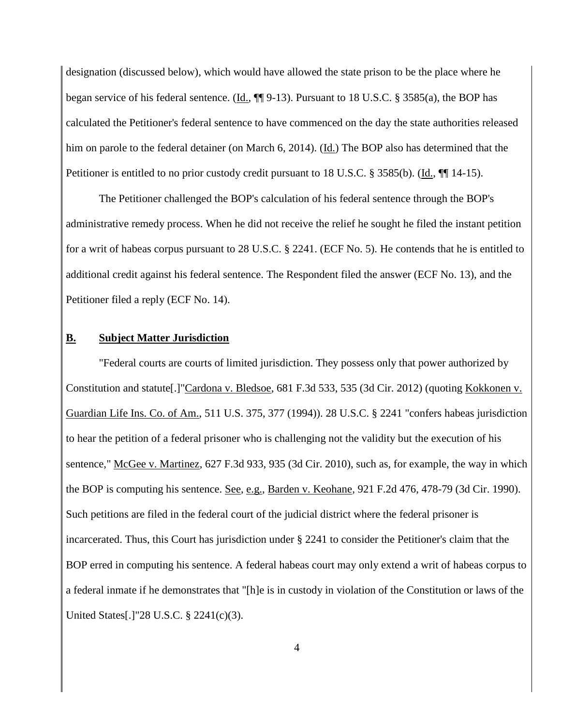designation (discussed below), which would have allowed the state prison to be the place where he began service of his federal sentence. (Id., ¶¶ 9-13). Pursuant to 18 U.S.C. § 3585(a), the BOP has calculated the Petitioner's federal sentence to have commenced on the day the state authorities released him on parole to the federal detainer (on March 6, 2014). (Id.) The BOP also has determined that the Petitioner is entitled to no prior custody credit pursuant to 18 U.S.C. § 3585(b). (Id., ¶[14-15).

The Petitioner challenged the BOP's calculation of his federal sentence through the BOP's administrative remedy process. When he did not receive the relief he sought he filed the instant petition for a writ of habeas corpus pursuant to 28 U.S.C. § 2241. (ECF No. 5). He contends that he is entitled to additional credit against his federal sentence. The Respondent filed the answer (ECF No. 13), and the Petitioner filed a reply (ECF No. 14).

#### **B. Subject Matter Jurisdiction**

"Federal courts are courts of limited jurisdiction. They possess only that power authorized by Constitution and statute[.]"Cardona v. Bledsoe, 681 F.3d 533, 535 (3d Cir. 2012) (quoting Kokkonen v. Guardian Life Ins. Co. of Am., 511 U.S. 375, 377 (1994)). 28 U.S.C. § 2241 "confers habeas jurisdiction to hear the petition of a federal prisoner who is challenging not the validity but the execution of his sentence," McGee v. Martinez, 627 F.3d 933, 935 (3d Cir. 2010), such as, for example, the way in which the BOP is computing his sentence. See, e.g., Barden v. Keohane, 921 F.2d 476, 478-79 (3d Cir. 1990). Such petitions are filed in the federal court of the judicial district where the federal prisoner is incarcerated. Thus, this Court has jurisdiction under § 2241 to consider the Petitioner's claim that the BOP erred in computing his sentence. A federal habeas court may only extend a writ of habeas corpus to a federal inmate if he demonstrates that "[h]e is in custody in violation of the Constitution or laws of the United States[.]"28 U.S.C. § 2241(c)(3).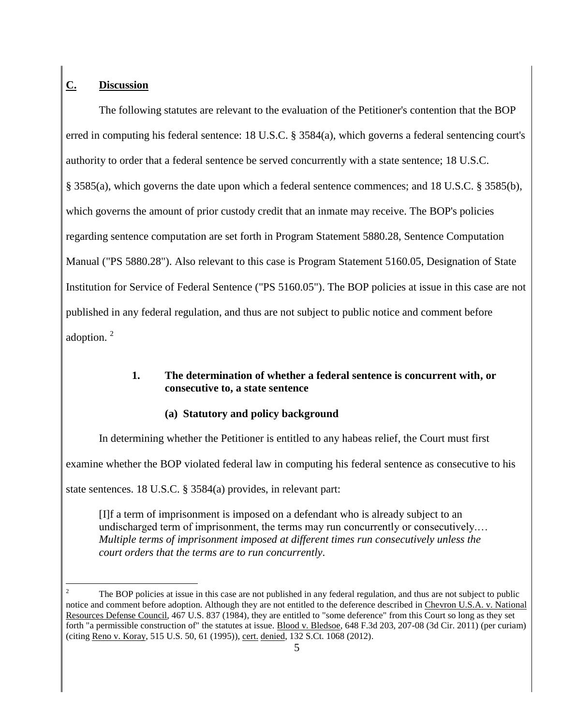# **C. Discussion**

The following statutes are relevant to the evaluation of the Petitioner's contention that the BOP erred in computing his federal sentence: 18 U.S.C. § 3584(a), which governs a federal sentencing court's authority to order that a federal sentence be served concurrently with a state sentence; 18 U.S.C. § 3585(a), which governs the date upon which a federal sentence commences; and 18 U.S.C. § 3585(b), which governs the amount of prior custody credit that an inmate may receive. The BOP's policies regarding sentence computation are set forth in Program Statement 5880.28, Sentence Computation Manual ("PS 5880.28"). Also relevant to this case is Program Statement 5160.05, Designation of State Institution for Service of Federal Sentence ("PS 5160.05"). The BOP policies at issue in this case are not published in any federal regulation, and thus are not subject to public notice and comment before adoption.<sup>2</sup>

## **1. The determination of whether a federal sentence is concurrent with, or consecutive to, a state sentence**

## **(a) Statutory and policy background**

In determining whether the Petitioner is entitled to any habeas relief, the Court must first

examine whether the BOP violated federal law in computing his federal sentence as consecutive to his

state sentences. 18 U.S.C. § 3584(a) provides, in relevant part:

[I]f a term of imprisonment is imposed on a defendant who is already subject to an undischarged term of imprisonment, the terms may run concurrently or consecutively.… *Multiple terms of imprisonment imposed at different times run consecutively unless the court orders that the terms are to run concurrently*.

 $\overline{a}$ <sup>2</sup> The BOP policies at issue in this case are not published in any federal regulation, and thus are not subject to public notice and comment before adoption. Although they are not entitled to the deference described in Chevron U.S.A. v. National Resources Defense Council, 467 U.S. 837 (1984), they are entitled to "some deference" from this Court so long as they set forth "a permissible construction of" the statutes at issue. Blood v. Bledsoe, 648 F.3d 203, 207-08 (3d Cir. 2011) (per curiam) (citing Reno v. Koray, 515 U.S. 50, 61 (1995)), cert. denied, 132 S.Ct. 1068 (2012).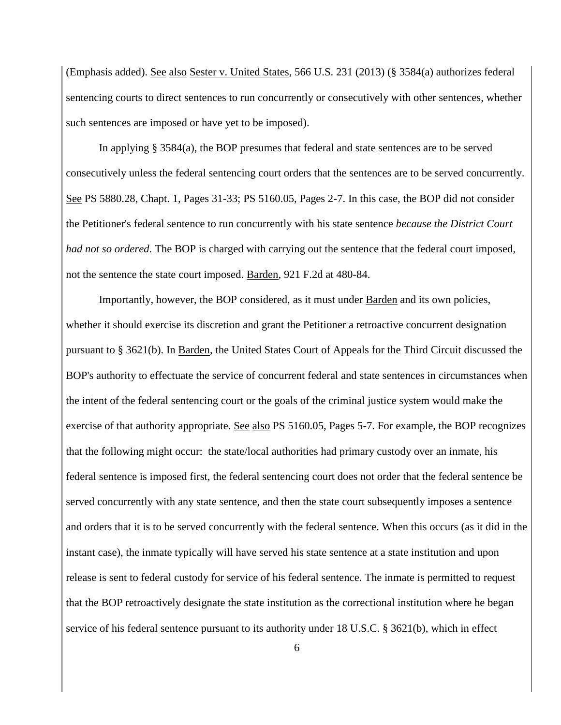(Emphasis added). See also Sester v. United States, 566 U.S. 231 (2013) (§ 3584(a) authorizes federal sentencing courts to direct sentences to run concurrently or consecutively with other sentences, whether such sentences are imposed or have yet to be imposed).

In applying § 3584(a), the BOP presumes that federal and state sentences are to be served consecutively unless the federal sentencing court orders that the sentences are to be served concurrently. See PS 5880.28, Chapt. 1, Pages 31-33; PS 5160.05, Pages 2-7. In this case, the BOP did not consider the Petitioner's federal sentence to run concurrently with his state sentence *because the District Court had not so ordered*. The BOP is charged with carrying out the sentence that the federal court imposed, not the sentence the state court imposed. Barden, 921 F.2d at 480-84.

Importantly, however, the BOP considered, as it must under Barden and its own policies, whether it should exercise its discretion and grant the Petitioner a retroactive concurrent designation pursuant to § 3621(b). In Barden, the United States Court of Appeals for the Third Circuit discussed the BOP's authority to effectuate the service of concurrent federal and state sentences in circumstances when the intent of the federal sentencing court or the goals of the criminal justice system would make the exercise of that authority appropriate. See also PS 5160.05, Pages 5-7. For example, the BOP recognizes that the following might occur: the state/local authorities had primary custody over an inmate, his federal sentence is imposed first, the federal sentencing court does not order that the federal sentence be served concurrently with any state sentence, and then the state court subsequently imposes a sentence and orders that it is to be served concurrently with the federal sentence. When this occurs (as it did in the instant case), the inmate typically will have served his state sentence at a state institution and upon release is sent to federal custody for service of his federal sentence. The inmate is permitted to request that the BOP retroactively designate the state institution as the correctional institution where he began service of his federal sentence pursuant to its authority under 18 U.S.C. § 3621(b), which in effect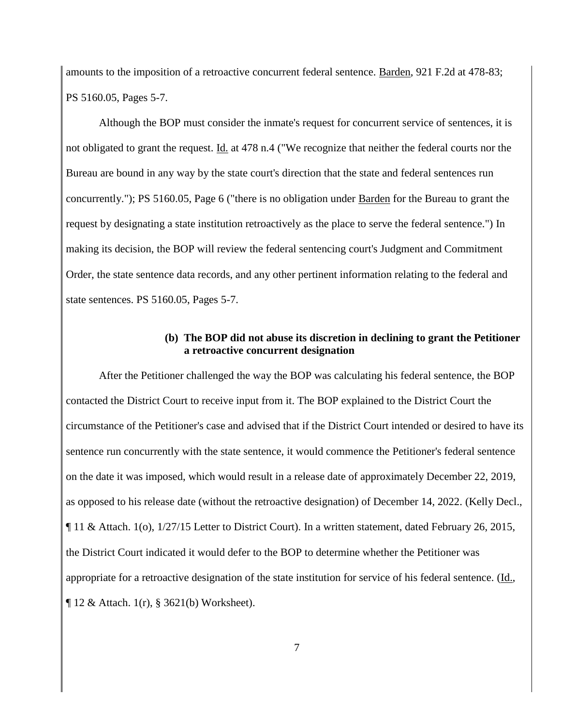amounts to the imposition of a retroactive concurrent federal sentence. Barden, 921 F.2d at 478-83; PS 5160.05, Pages 5-7.

Although the BOP must consider the inmate's request for concurrent service of sentences, it is not obligated to grant the request. Id. at 478 n.4 ("We recognize that neither the federal courts nor the Bureau are bound in any way by the state court's direction that the state and federal sentences run concurrently."); PS 5160.05, Page 6 ("there is no obligation under Barden for the Bureau to grant the request by designating a state institution retroactively as the place to serve the federal sentence.") In making its decision, the BOP will review the federal sentencing court's Judgment and Commitment Order, the state sentence data records, and any other pertinent information relating to the federal and state sentences. PS 5160.05, Pages 5-7.

#### **(b) The BOP did not abuse its discretion in declining to grant the Petitioner a retroactive concurrent designation**

After the Petitioner challenged the way the BOP was calculating his federal sentence, the BOP contacted the District Court to receive input from it. The BOP explained to the District Court the circumstance of the Petitioner's case and advised that if the District Court intended or desired to have its sentence run concurrently with the state sentence, it would commence the Petitioner's federal sentence on the date it was imposed, which would result in a release date of approximately December 22, 2019, as opposed to his release date (without the retroactive designation) of December 14, 2022. (Kelly Decl., ¶ 11 & Attach. 1(o), 1/27/15 Letter to District Court). In a written statement, dated February 26, 2015, the District Court indicated it would defer to the BOP to determine whether the Petitioner was appropriate for a retroactive designation of the state institution for service of his federal sentence. (Id., ¶ 12 & Attach. 1(r), § 3621(b) Worksheet).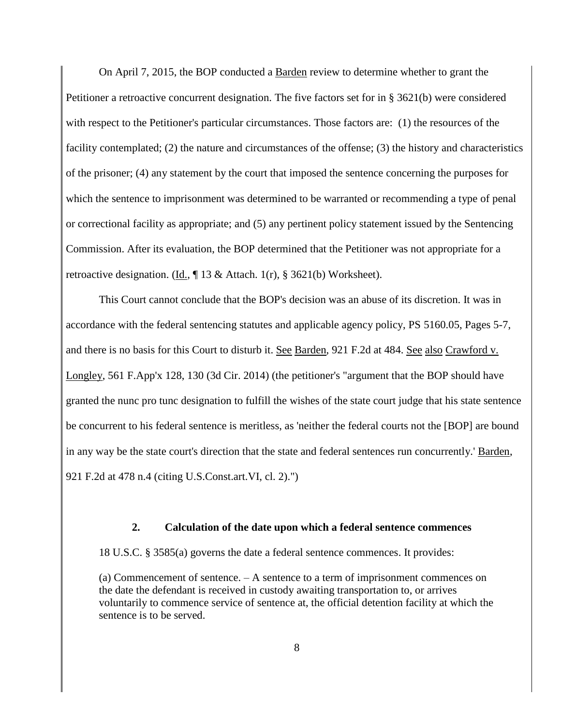On April 7, 2015, the BOP conducted a Barden review to determine whether to grant the Petitioner a retroactive concurrent designation. The five factors set for in § 3621(b) were considered with respect to the Petitioner's particular circumstances. Those factors are: (1) the resources of the facility contemplated; (2) the nature and circumstances of the offense; (3) the history and characteristics of the prisoner; (4) any statement by the court that imposed the sentence concerning the purposes for which the sentence to imprisonment was determined to be warranted or recommending a type of penal or correctional facility as appropriate; and (5) any pertinent policy statement issued by the Sentencing Commission. After its evaluation, the BOP determined that the Petitioner was not appropriate for a retroactive designation. (Id.,  $\parallel$  13 & Attach. 1(r), § 3621(b) Worksheet).

This Court cannot conclude that the BOP's decision was an abuse of its discretion. It was in accordance with the federal sentencing statutes and applicable agency policy, PS 5160.05, Pages 5-7, and there is no basis for this Court to disturb it. See Barden, 921 F.2d at 484. See also Crawford v. Longley, 561 F.App'x 128, 130 (3d Cir. 2014) (the petitioner's "argument that the BOP should have granted the nunc pro tunc designation to fulfill the wishes of the state court judge that his state sentence be concurrent to his federal sentence is meritless, as 'neither the federal courts not the [BOP] are bound in any way be the state court's direction that the state and federal sentences run concurrently.' Barden, 921 F.2d at 478 n.4 (citing U.S.Const.art.VI, cl. 2).")

#### **2. Calculation of the date upon which a federal sentence commences**

18 U.S.C. § 3585(a) governs the date a federal sentence commences. It provides:

(a) Commencement of sentence. – A sentence to a term of imprisonment commences on the date the defendant is received in custody awaiting transportation to, or arrives voluntarily to commence service of sentence at, the official detention facility at which the sentence is to be served.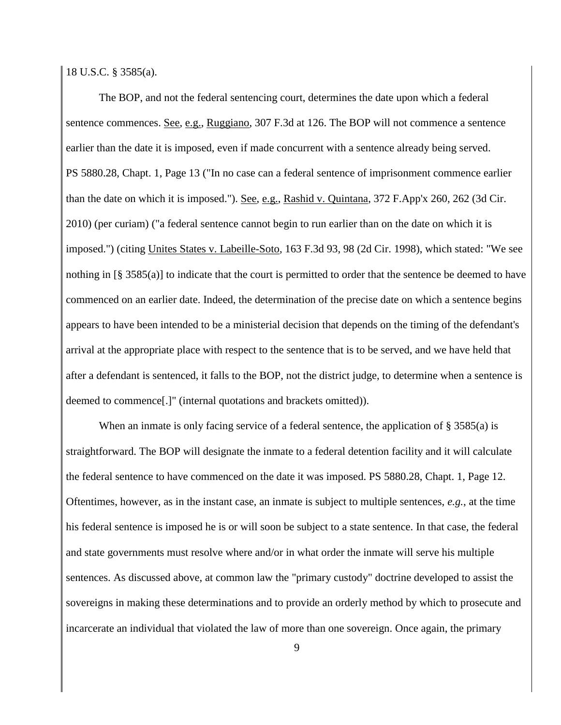18 U.S.C. § 3585(a).

The BOP, and not the federal sentencing court, determines the date upon which a federal sentence commences. <u>See, e.g., Ruggiano</u>, 307 F.3d at 126. The BOP will not commence a sentence earlier than the date it is imposed, even if made concurrent with a sentence already being served. PS 5880.28, Chapt. 1, Page 13 ("In no case can a federal sentence of imprisonment commence earlier than the date on which it is imposed."). See, e.g., Rashid v. Quintana, 372 F.App'x 260, 262 (3d Cir. 2010) (per curiam) ("a federal sentence cannot begin to run earlier than on the date on which it is imposed.") (citing Unites States v. Labeille-Soto, 163 F.3d 93, 98 (2d Cir. 1998), which stated: "We see nothing in [§ 3585(a)] to indicate that the court is permitted to order that the sentence be deemed to have commenced on an earlier date. Indeed, the determination of the precise date on which a sentence begins appears to have been intended to be a ministerial decision that depends on the timing of the defendant's arrival at the appropriate place with respect to the sentence that is to be served, and we have held that after a defendant is sentenced, it falls to the BOP, not the district judge, to determine when a sentence is deemed to commence[.]" (internal quotations and brackets omitted)).

When an inmate is only facing service of a federal sentence, the application of § 3585(a) is straightforward. The BOP will designate the inmate to a federal detention facility and it will calculate the federal sentence to have commenced on the date it was imposed. PS 5880.28, Chapt. 1, Page 12. Oftentimes, however, as in the instant case, an inmate is subject to multiple sentences, *e.g.*, at the time his federal sentence is imposed he is or will soon be subject to a state sentence. In that case, the federal and state governments must resolve where and/or in what order the inmate will serve his multiple sentences. As discussed above, at common law the "primary custody" doctrine developed to assist the sovereigns in making these determinations and to provide an orderly method by which to prosecute and incarcerate an individual that violated the law of more than one sovereign. Once again, the primary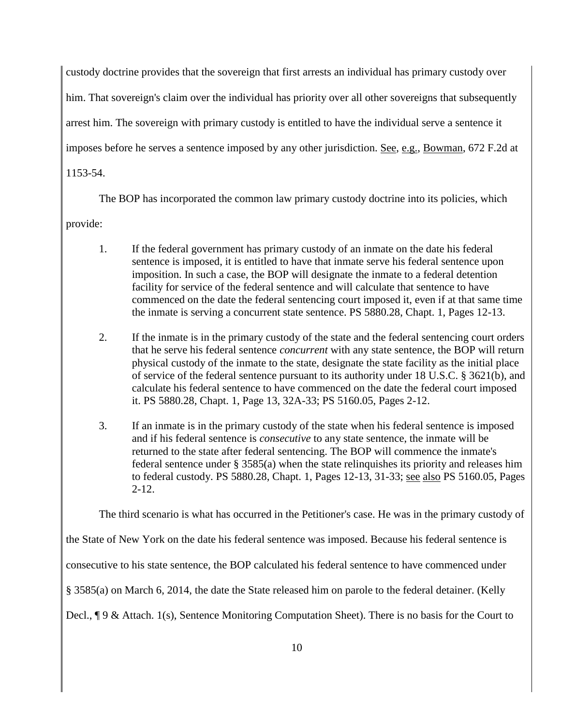custody doctrine provides that the sovereign that first arrests an individual has primary custody over him. That sovereign's claim over the individual has priority over all other sovereigns that subsequently arrest him. The sovereign with primary custody is entitled to have the individual serve a sentence it imposes before he serves a sentence imposed by any other jurisdiction. See, e.g., Bowman, 672 F.2d at 1153-54.

The BOP has incorporated the common law primary custody doctrine into its policies, which

provide:

- 1. If the federal government has primary custody of an inmate on the date his federal sentence is imposed, it is entitled to have that inmate serve his federal sentence upon imposition. In such a case, the BOP will designate the inmate to a federal detention facility for service of the federal sentence and will calculate that sentence to have commenced on the date the federal sentencing court imposed it, even if at that same time the inmate is serving a concurrent state sentence. PS 5880.28, Chapt. 1, Pages 12-13.
- 2. If the inmate is in the primary custody of the state and the federal sentencing court orders that he serve his federal sentence *concurrent* with any state sentence, the BOP will return physical custody of the inmate to the state, designate the state facility as the initial place of service of the federal sentence pursuant to its authority under 18 U.S.C. § 3621(b), and calculate his federal sentence to have commenced on the date the federal court imposed it. PS 5880.28, Chapt. 1, Page 13, 32A-33; PS 5160.05, Pages 2-12.
- 3. If an inmate is in the primary custody of the state when his federal sentence is imposed and if his federal sentence is *consecutive* to any state sentence, the inmate will be returned to the state after federal sentencing. The BOP will commence the inmate's federal sentence under § 3585(a) when the state relinquishes its priority and releases him to federal custody. PS 5880.28, Chapt. 1, Pages 12-13, 31-33; see also PS 5160.05, Pages 2-12.

The third scenario is what has occurred in the Petitioner's case. He was in the primary custody of

the State of New York on the date his federal sentence was imposed. Because his federal sentence is

consecutive to his state sentence, the BOP calculated his federal sentence to have commenced under

§ 3585(a) on March 6, 2014, the date the State released him on parole to the federal detainer. (Kelly

Decl., ¶ 9 & Attach. 1(s), Sentence Monitoring Computation Sheet). There is no basis for the Court to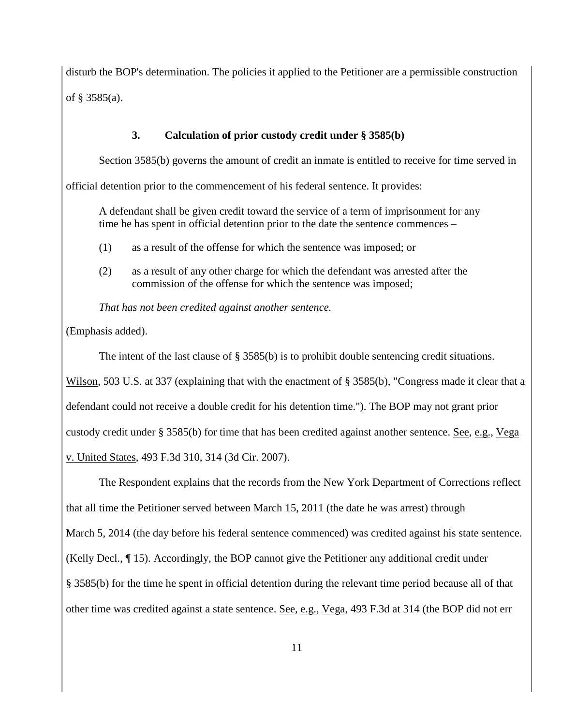disturb the BOP's determination. The policies it applied to the Petitioner are a permissible construction of § 3585(a).

#### **3. Calculation of prior custody credit under § 3585(b)**

Section 3585(b) governs the amount of credit an inmate is entitled to receive for time served in

official detention prior to the commencement of his federal sentence. It provides:

A defendant shall be given credit toward the service of a term of imprisonment for any time he has spent in official detention prior to the date the sentence commences –

- (1) as a result of the offense for which the sentence was imposed; or
- (2) as a result of any other charge for which the defendant was arrested after the commission of the offense for which the sentence was imposed;

*That has not been credited against another sentence.* 

(Emphasis added).

The intent of the last clause of § 3585(b) is to prohibit double sentencing credit situations.

Wilson, 503 U.S. at 337 (explaining that with the enactment of § 3585(b), "Congress made it clear that a

defendant could not receive a double credit for his detention time."). The BOP may not grant prior

custody credit under § 3585(b) for time that has been credited against another sentence. See, e.g., Vega

v. United States, 493 F.3d 310, 314 (3d Cir. 2007).

The Respondent explains that the records from the New York Department of Corrections reflect that all time the Petitioner served between March 15, 2011 (the date he was arrest) through March 5, 2014 (the day before his federal sentence commenced) was credited against his state sentence. (Kelly Decl., ¶ 15). Accordingly, the BOP cannot give the Petitioner any additional credit under § 3585(b) for the time he spent in official detention during the relevant time period because all of that other time was credited against a state sentence. See, e.g., Vega, 493 F.3d at 314 (the BOP did not err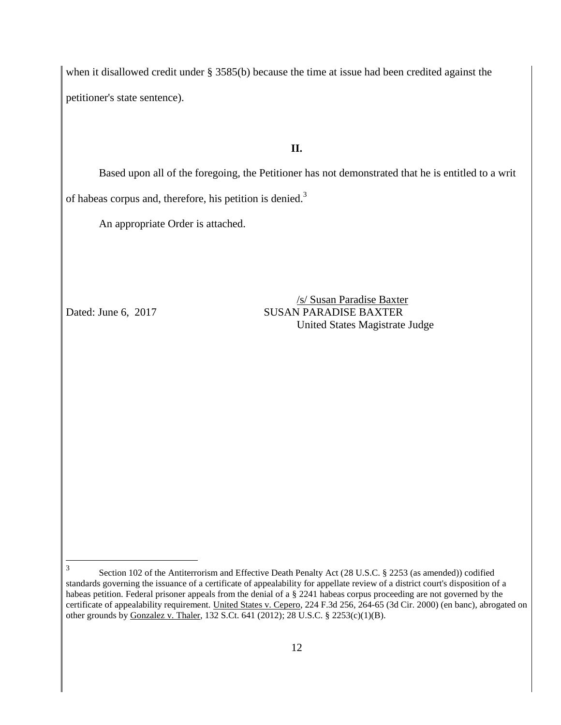when it disallowed credit under § 3585(b) because the time at issue had been credited against the petitioner's state sentence).

## **II.**

Based upon all of the foregoing, the Petitioner has not demonstrated that he is entitled to a writ of habeas corpus and, therefore, his petition is denied.<sup>3</sup>

An appropriate Order is attached.

/s/ Susan Paradise Baxter Dated: June 6, 2017 SUSAN PARADISE BAXTER United States Magistrate Judge

 3 Section 102 of the Antiterrorism and Effective Death Penalty Act (28 U.S.C. § 2253 (as amended)) codified standards governing the issuance of a certificate of appealability for appellate review of a district court's disposition of a habeas petition. Federal prisoner appeals from the denial of a § 2241 habeas corpus proceeding are not governed by the certificate of appealability requirement. United States v. Cepero, 224 F.3d 256, 264-65 (3d Cir. 2000) (en banc), abrogated on other grounds by Gonzalez v. Thaler, 132 S.Ct. 641 (2012); 28 U.S.C. § 2253(c)(1)(B).